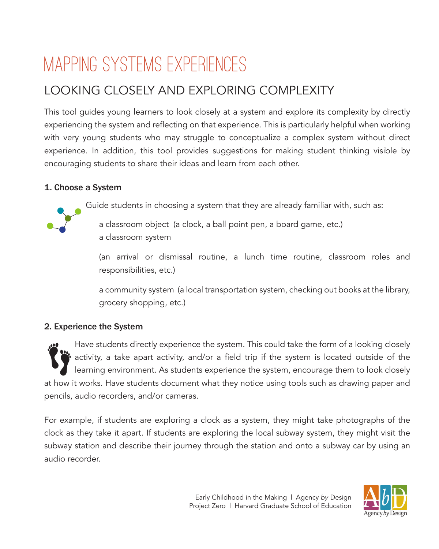# Mapping Systems Experiences

# LOOKING CLOSELY AND EXPLORING COMPLEXITY

This tool guides young learners to look closely at a system and explore its complexity by directly experiencing the system and reflecting on that experience. This is particularly helpful when working with very young students who may struggle to conceptualize a complex system without direct experience. In addition, this tool provides suggestions for making student thinking visible by encouraging students to share their ideas and learn from each other.

### 1. Choose a System

Guide students in choosing a system that they are already familiar with, such as:

a classroom object (a clock, a ball point pen, a board game, etc.) a classroom system

(an arrival or dismissal routine, a lunch time routine, classroom roles and responsibilities, etc.)

a community system (a local transportation system, checking out books at the library, grocery shopping, etc.)

## 2. Experience the System

Have students directly experience the system. This could take the form of a looking closely  $\mathord{\mathfrak{b}}$  activity, a take apart activity, and/or a field trip if the system is located outside of the learning environment. As students experience the system, encourage them to look closely at how it works. Have students document what they notice using tools such as drawing paper and pencils, audio recorders, and/or cameras.

For example, if students are exploring a clock as a system, they might take photographs of the clock as they take it apart. If students are exploring the local subway system, they might visit the subway station and describe their journey through the station and onto a subway car by using an audio recorder.